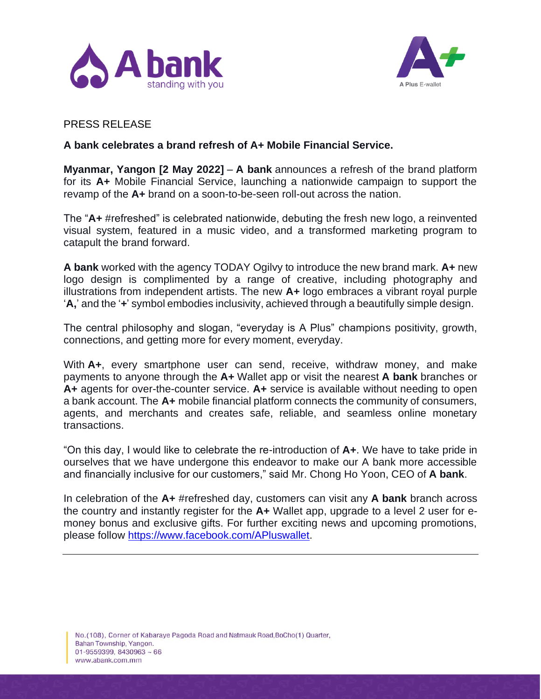



## PRESS RELEASE

## **A bank celebrates a brand refresh of A+ Mobile Financial Service.**

**Myanmar, Yangon [2 May 2022]** – **A bank** announces a refresh of the brand platform for its **A+** Mobile Financial Service, launching a nationwide campaign to support the revamp of the **A+** brand on a soon-to-be-seen roll-out across the nation.

The "**A+** #refreshed" is celebrated nationwide, debuting the fresh new logo, a reinvented visual system, featured in a music video, and a transformed marketing program to catapult the brand forward.

**A bank** worked with the agency TODAY Ogilvy to introduce the new brand mark. **A+** new logo design is complimented by a range of creative, including photography and illustrations from independent artists. The new **A+** logo embraces a vibrant royal purple '**A,**' and the '**+**' symbol embodies inclusivity, achieved through a beautifully simple design.

The central philosophy and slogan, "everyday is A Plus" champions positivity, growth, connections, and getting more for every moment, everyday.

With A<sub>+</sub>, every smartphone user can send, receive, withdraw money, and make payments to anyone through the **A+** Wallet app or visit the nearest **A bank** branches or **A+** agents for over-the-counter service. **A+** service is available without needing to open a bank account. The **A+** mobile financial platform connects the community of consumers, agents, and merchants and creates safe, reliable, and seamless online monetary transactions.

"On this day, I would like to celebrate the re-introduction of **A+**. We have to take pride in ourselves that we have undergone this endeavor to make our A bank more accessible and financially inclusive for our customers," said Mr. Chong Ho Yoon, CEO of **A bank**.

In celebration of the **A+** #refreshed day, customers can visit any **A bank** branch across the country and instantly register for the **A+** Wallet app, upgrade to a level 2 user for emoney bonus and exclusive gifts. For further exciting news and upcoming promotions, please follow [https://www.facebook.com/APluswallet.](https://www.facebook.com/APluswallet)